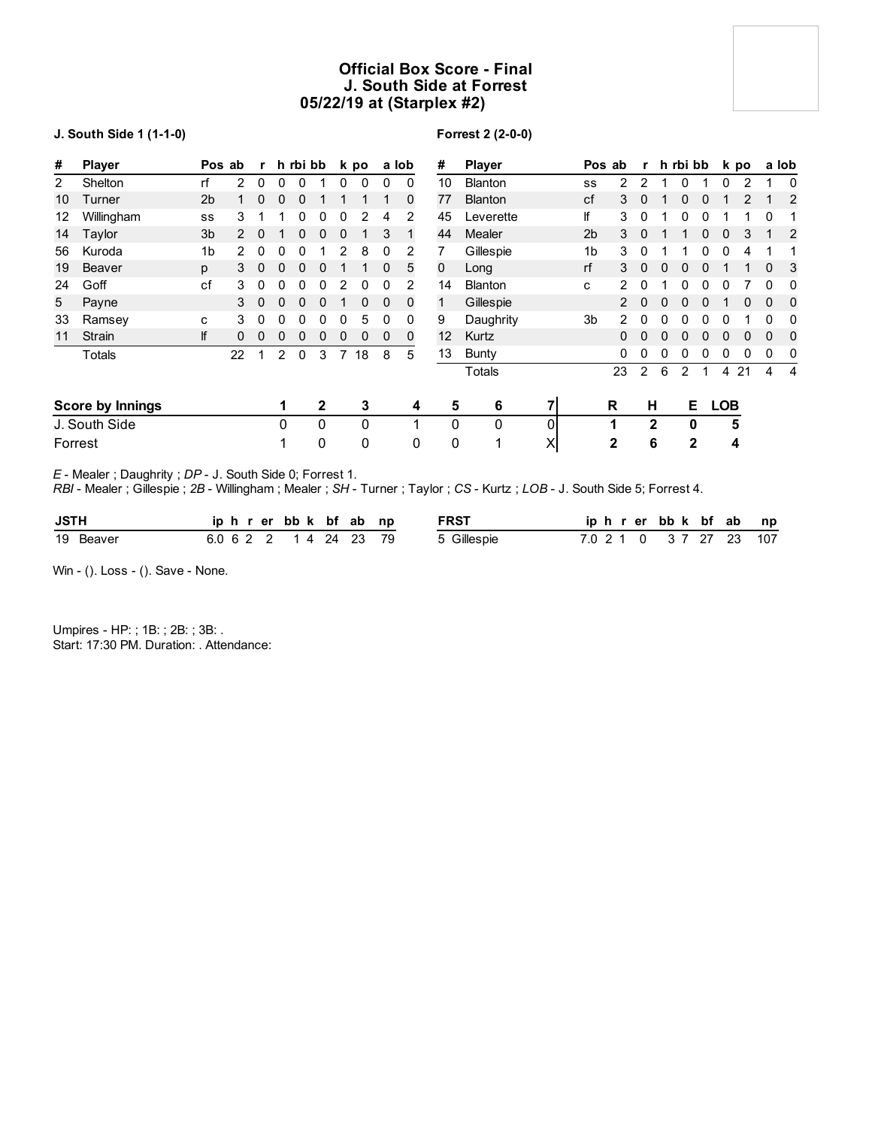# **Official Box Score - Final J. South Side at Forrest 05/22/19 at (Starplex #2)**

### **J. South Side 1 (1-1-0)**

# **Forrest 2 (2-0-0)**

| #              | <b>Player</b>           |                | Pos ab   | $\mathbf{r}$ |              | h rbi bb     |                |   | k po     |          | a lob        | #               | <b>Player</b>  |   |                | Pos ab       |              | r h rbi bb |    |   |            | k po |          | a lob          |
|----------------|-------------------------|----------------|----------|--------------|--------------|--------------|----------------|---|----------|----------|--------------|-----------------|----------------|---|----------------|--------------|--------------|------------|----|---|------------|------|----------|----------------|
| $\overline{2}$ | Shelton                 | rf             | 2        | $\mathbf{0}$ | 0            | 0            |                | 0 | 0        | 0        | $\mathbf{0}$ | 10              | <b>Blanton</b> |   | SS             | 2            | 2            |            | 0  |   | 0          | 2    |          | 0              |
| 10             | Turner                  | 2 <sub>b</sub> |          | 0            | 0            | 0            |                |   |          |          | 0            | 77              | <b>Blanton</b> |   | cf             | 3            | $\Omega$     |            |    |   |            |      |          | $\overline{2}$ |
| 12             | Willingham              | SS             | 3        |              |              | 0            | 0              | 0 |          | 4        | 2            | 45              | Leverette      |   | lf             | 3            | 0            |            |    |   |            |      |          |                |
| 14             | Taylor                  | 3 <sub>b</sub> |          | 0            |              | 0            | 0              | 0 |          | 3        |              | 44              | <b>Mealer</b>  |   | 2 <sub>b</sub> | 3            | $\Omega$     |            |    |   | 0          | 3    |          | 2              |
| 56             | Kuroda                  | 1 <sub>b</sub> | 2.       | 0            | 0            | 0            |                | 2 | 8        | 0        | 2            |                 | Gillespie      |   | 1b             | 3            | 0            |            |    | 0 | 0          | 4    |          |                |
| 19             | Beaver                  | p              | 3        | $\mathbf 0$  | $\mathbf{0}$ | $\mathbf{0}$ | 0              |   |          | 0        | 5            | 0               | Long           |   | rf             | 3            | $\mathbf{0}$ | $\Omega$   | 0  | 0 |            |      | $\Omega$ | 3              |
| 24             | Goff                    | cf             | 3        | 0            | 0            | 0            | 0              | 2 | 0        | 0        | 2            | 14              | <b>Blanton</b> |   | c              | 2            | 0            |            |    | U |            |      | 0        | 0              |
| 5              | Payne                   |                | 3        | 0            | 0            | 0            | 0              |   | $\Omega$ | $\Omega$ | $\mathbf 0$  | 1               | Gillespie      |   |                | 2            | $\Omega$     |            |    |   |            | 0    | $\Omega$ | 0              |
| 33             | Ramsey                  | c              | 3        | 0            | 0            | 0            | 0              | 0 | 5        | 0        | 0            | 9               | Daughrity      |   | 3 <sub>b</sub> | 2            | 0            | 0          | 0  |   | 0          |      | 0        | 0              |
| 11             | Strain                  | lf             | $\Omega$ | $\Omega$     | 0            | 0            | 0              | 0 | 0        | 0        | 0            | 12 <sup>2</sup> | Kurtz          |   |                | 0            | $\Omega$     |            | 0  | 0 | 0          | 0    | $\Omega$ | 0              |
|                | Totals                  |                | 22       |              | 2            | 0            | 3              | 7 | 18       | 8        | 5            | 13              | Bunty          |   |                | 0            | 0            | 0          |    | 0 | 0          | 0    | 0        | 0              |
|                |                         |                |          |              |              |              |                |   |          |          |              |                 | Totals         |   |                | 23           | 2            | 6          | 2  | 1 | 4          | 21   | 4        | 4              |
|                | <b>Score by Innings</b> |                |          |              | 1            |              | $\overline{2}$ |   | 3        |          | 4            | 5               | 6              | 7 |                | R            | н            |            | E. |   | <b>LOB</b> |      |          |                |
|                | J. South Side           |                |          |              | 0            |              | $\Omega$       |   | 0        |          | ◢            | 0               | 0              | 0 |                |              |              | 2          | 0  |   |            | 5    |          |                |
|                | Forrest                 |                |          |              |              |              | 0              |   | 0        |          | 0            | 0               |                | X |                | $\mathbf{2}$ |              | 6          | 2  |   |            | 4    |          |                |

*E* - Mealer ; Daughrity ; *DP* - J. South Side 0; Forrest 1.

*RBI* - Mealer ; Gillespie ; *2B* - Willingham ; Mealer ; *SH* - Turner ; Taylor ; *CS* - Kurtz ; *LOB* - J. South Side 5; Forrest 4.

| <b>JSTH</b> | iphrerbbk bfab np      |  |  | FRST        |  | iphrerbbk bfab np       |  |  |
|-------------|------------------------|--|--|-------------|--|-------------------------|--|--|
| 19 Beaver   | 6.0 6 2 2 1 4 24 23 79 |  |  | 5 Gillespie |  | 7.0 2 1 0 3 7 27 23 107 |  |  |

Win - (). Loss - (). Save - None.

Umpires - HP: ; 1B: ; 2B: ; 3B: . Start: 17:30 PM. Duration: . Attendance: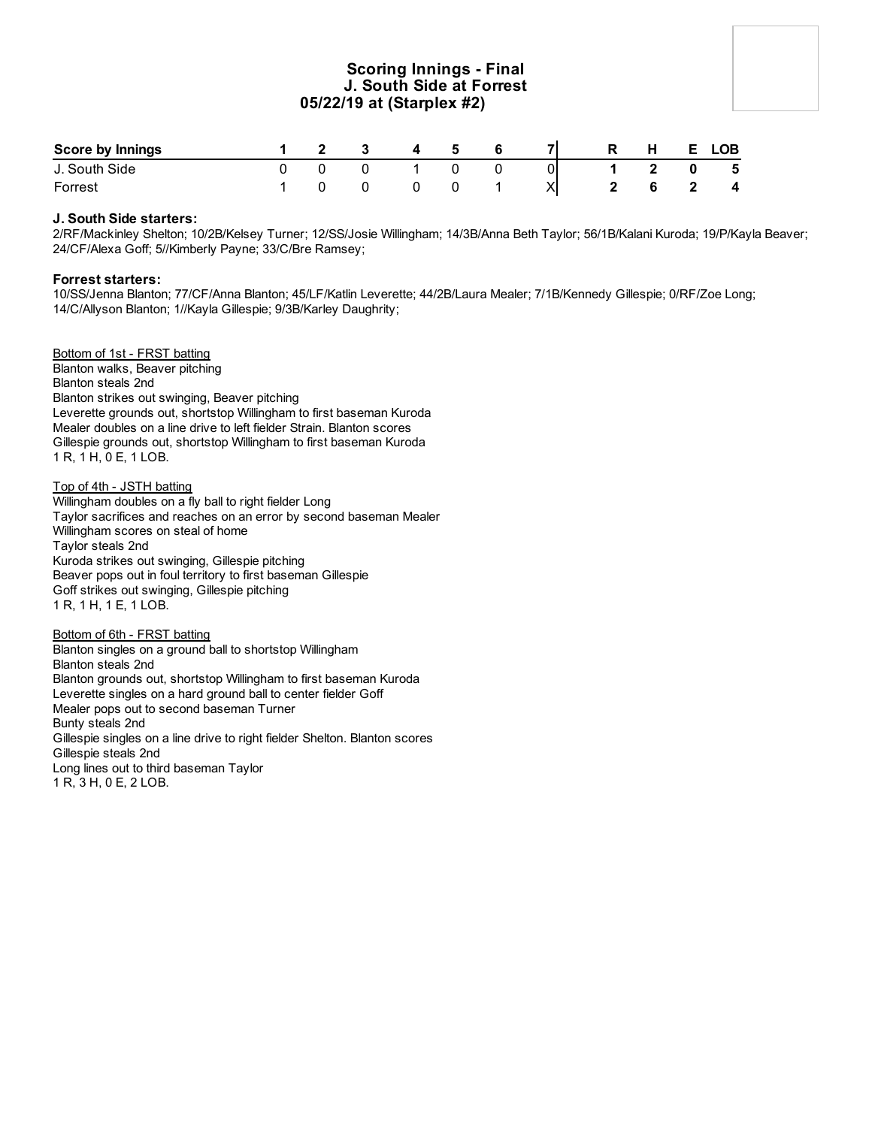# **Scoring Innings - Final J. South Side at Forrest 05/22/19 at (Starplex #2)**

| <b>Score by Innings</b> |  | - 3 | $\mathbf{A}$ | -5 |  | R. | H | E. | <b>LOB</b>              |
|-------------------------|--|-----|--------------|----|--|----|---|----|-------------------------|
| J. South Side           |  |     |              |    |  |    |   |    | 5                       |
| Forrest                 |  |     |              |    |  |    |   |    | $\overline{\mathbf{4}}$ |

### **J. South Side starters:**

2/RF/Mackinley Shelton; 10/2B/Kelsey Turner; 12/SS/Josie Willingham; 14/3B/Anna Beth Taylor; 56/1B/Kalani Kuroda; 19/P/Kayla Beaver; 24/CF/Alexa Goff; 5//Kimberly Payne; 33/C/Bre Ramsey;

#### **Forrest starters:**

10/SS/Jenna Blanton; 77/CF/Anna Blanton; 45/LF/Katlin Leverette; 44/2B/Laura Mealer; 7/1B/Kennedy Gillespie; 0/RF/Zoe Long; 14/C/Allyson Blanton; 1//Kayla Gillespie; 9/3B/Karley Daughrity;

Bottom of 1st - FRST batting Blanton walks, Beaver pitching Blanton steals 2nd Blanton strikes out swinging, Beaver pitching Leverette grounds out, shortstop Willingham to first baseman Kuroda Mealer doubles on a line drive to left fielder Strain. Blanton scores Gillespie grounds out, shortstop Willingham to first baseman Kuroda 1 R, 1 H, 0 E, 1 LOB.

### Top of 4th - JSTH batting

Willingham doubles on a fly ball to right fielder Long Taylor sacrifices and reaches on an error by second baseman Mealer Willingham scores on steal of home Taylor steals 2nd Kuroda strikes out swinging, Gillespie pitching Beaver pops out in foul territory to first baseman Gillespie Goff strikes out swinging, Gillespie pitching 1 R, 1 H, 1 E, 1 LOB.

#### Bottom of 6th - FRST batting

Blanton singles on a ground ball to shortstop Willingham Blanton steals 2nd Blanton grounds out, shortstop Willingham to first baseman Kuroda Leverette singles on a hard ground ball to center fielder Goff Mealer pops out to second baseman Turner Bunty steals 2nd Gillespie singles on a line drive to right fielder Shelton. Blanton scores Gillespie steals 2nd Long lines out to third baseman Taylor 1 R, 3 H, 0 E, 2 LOB.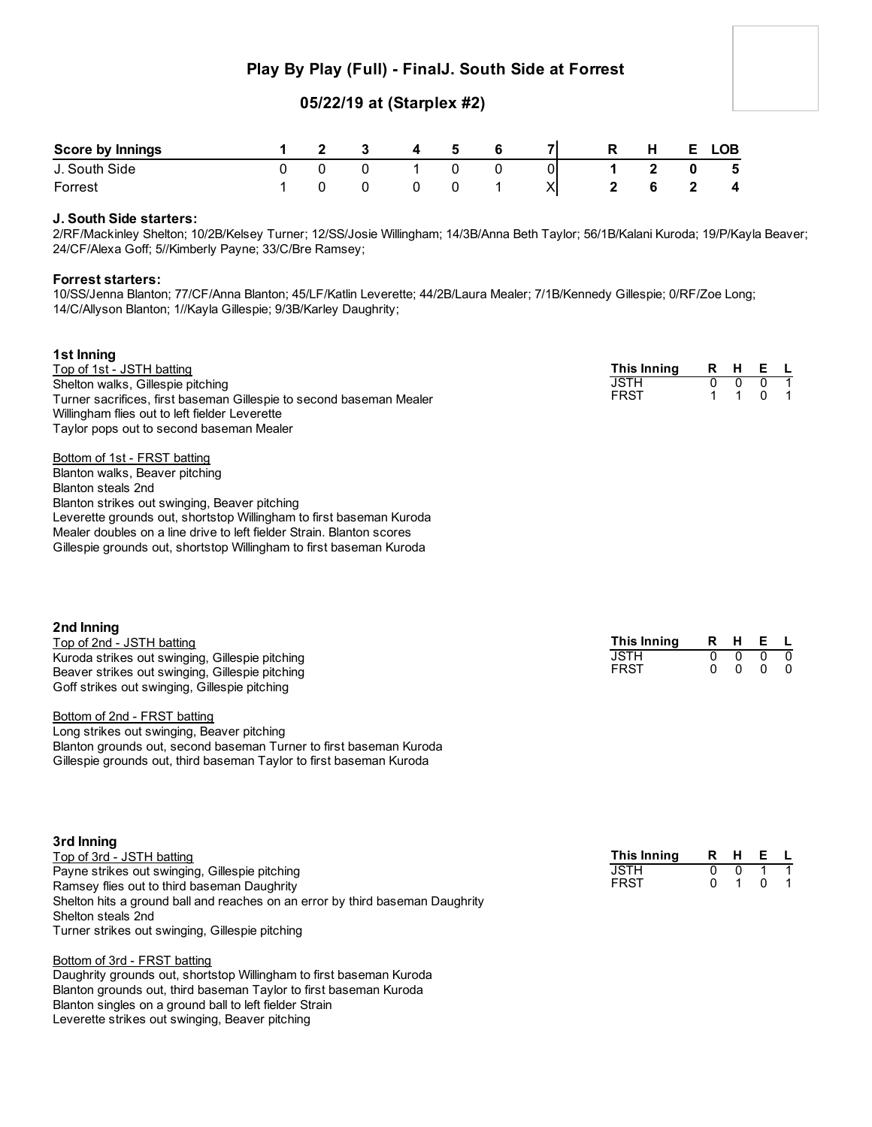# **Play By Play (Full) - FinalJ. South Side at Forrest**

# **05/22/19 at (Starplex #2)**

| <b>Score by Innings</b> |  | $\overline{\mathbf{3}}$ | $\overline{\mathbf{4}}$ | 5 | $\overline{7}$ | R | $H$ and $H$             | E. | <b>LOB</b>              |
|-------------------------|--|-------------------------|-------------------------|---|----------------|---|-------------------------|----|-------------------------|
| J. South Side           |  | - 0                     |                         |   |                |   | $\overline{\mathbf{2}}$ |    | $0\qquad 5$             |
| Forrest                 |  |                         |                         |   | XI             |   |                         |    | $\overline{\mathbf{4}}$ |

### **J. South Side starters:**

2/RF/Mackinley Shelton; 10/2B/Kelsey Turner; 12/SS/Josie Willingham; 14/3B/Anna Beth Taylor; 56/1B/Kalani Kuroda; 19/P/Kayla Beaver; 24/CF/Alexa Goff; 5//Kimberly Payne; 33/C/Bre Ramsey;

#### **Forrest starters:**

10/SS/Jenna Blanton; 77/CF/Anna Blanton; 45/LF/Katlin Leverette; 44/2B/Laura Mealer; 7/1B/Kennedy Gillespie; 0/RF/Zoe Long; 14/C/Allyson Blanton; 1//Kayla Gillespie; 9/3B/Karley Daughrity;

| 1st Inning                                                            |             |   |          |   |  |
|-----------------------------------------------------------------------|-------------|---|----------|---|--|
| Top of 1st - JSTH batting                                             | This Inning | R | -H       | Е |  |
| Shelton walks, Gillespie pitching                                     | <b>JSTH</b> | 0 | $\Omega$ |   |  |
| Turner sacrifices, first baseman Gillespie to second baseman Mealer   | <b>FRST</b> |   |          | 0 |  |
| Willingham flies out to left fielder Leverette                        |             |   |          |   |  |
| Taylor pops out to second baseman Mealer                              |             |   |          |   |  |
|                                                                       |             |   |          |   |  |
| Bottom of 1st - FRST batting                                          |             |   |          |   |  |
| Blanton walks, Beaver pitching                                        |             |   |          |   |  |
| Blanton steals 2nd                                                    |             |   |          |   |  |
| Blanton strikes out swinging, Beaver pitching                         |             |   |          |   |  |
| Leverette grounds out, shortstop Willingham to first baseman Kuroda   |             |   |          |   |  |
| Mealer doubles on a line drive to left fielder Strain. Blanton scores |             |   |          |   |  |
| Gillespie grounds out, shortstop Willingham to first baseman Kuroda   |             |   |          |   |  |

| 2nd Inning                                                          |             |   |   |    |          |
|---------------------------------------------------------------------|-------------|---|---|----|----------|
| Top of 2nd - JSTH batting                                           | This Inning | R | н | Е. | . L      |
| Kuroda strikes out swinging, Gillespie pitching                     | <b>JSTH</b> | 0 | 0 | 0  | 0        |
| Beaver strikes out swinging, Gillespie pitching                     | <b>FRST</b> | 0 | 0 | 0  | $\Omega$ |
| Goff strikes out swinging, Gillespie pitching                       |             |   |   |    |          |
| Bottom of 2nd - FRST batting                                        |             |   |   |    |          |
| Long strikes out swinging, Beaver pitching                          |             |   |   |    |          |
| Blanton grounds out, second baseman Turner to first baseman Kuroda  |             |   |   |    |          |
| Gillespie grounds out, third baseman Taylor to first baseman Kuroda |             |   |   |    |          |
|                                                                     |             |   |   |    |          |
| 3rd Inning                                                          |             |   |   |    |          |
| Top of 3rd - JSTH batting                                           | This Inning | R | н | Е  |          |
| Payne strikes out swinging, Gillespie pitching                      | JSTH        | 0 |   |    |          |
| Ramsey flies out to third baseman Daughrity                         | FRST        | 0 |   | 0  |          |

### Bottom of 3rd - FRST batting

Turner strikes out swinging, Gillespie pitching

Shelton steals 2nd

Daughrity grounds out, shortstop Willingham to first baseman Kuroda Blanton grounds out, third baseman Taylor to first baseman Kuroda Blanton singles on a ground ball to left fielder Strain Leverette strikes out swinging, Beaver pitching

Shelton hits a ground ball and reaches on an error by third baseman Daughrity